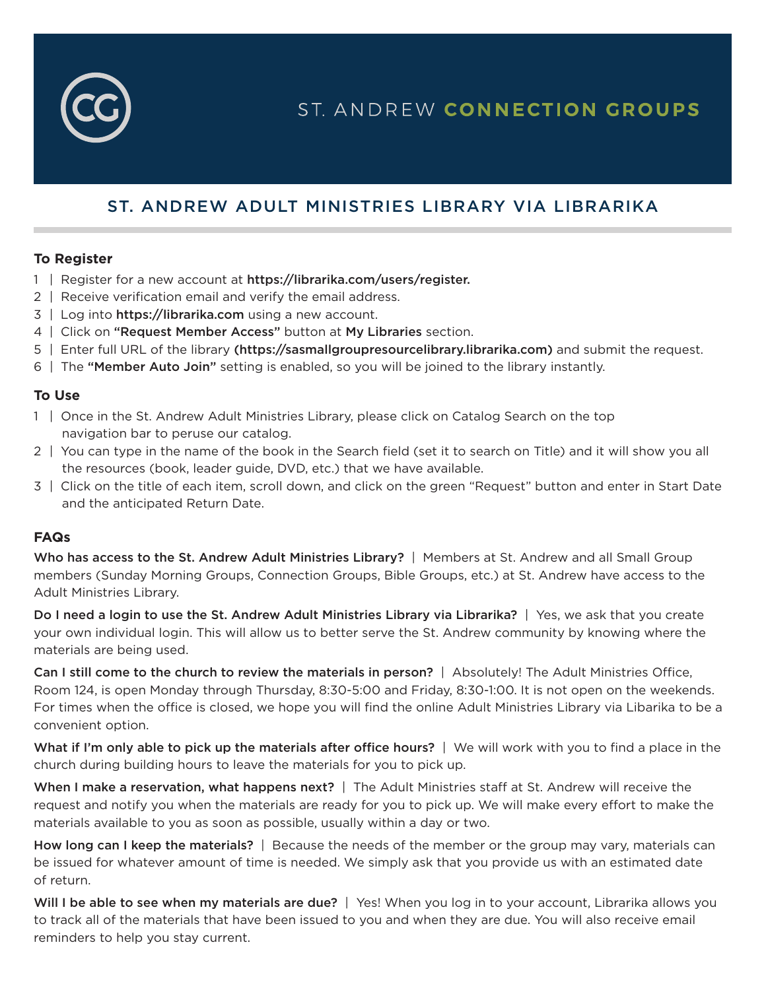

# ST. ANDREW CONNECTION GROUPS

# ST. ANDREW ADULT MINISTRIES LIBRARY VIA LIBRARIKA

#### **To Register**

- 1 | Register for a new account at https://librarika.com/users/register.
- 2 | Receive verification email and verify the email address.
- 3 | Log into https://librarika.com using a new account.
- 4 | Click on "Request Member Access" button at My Libraries section.
- 5 | Enter full URL of the library (https://sasmallgroupresourcelibrary.librarika.com) and submit the request.
- 6 | The "Member Auto Join" setting is enabled, so you will be joined to the library instantly.

### **To Use**

- 1 | Once in the St. Andrew Adult Ministries Library, please click on Catalog Search on the top navigation bar to peruse our catalog.
- 2 | You can type in the name of the book in the Search field (set it to search on Title) and it will show you all the resources (book, leader guide, DVD, etc.) that we have available.
- 3 | Click on the title of each item, scroll down, and click on the green "Request" button and enter in Start Date and the anticipated Return Date.

## **FAQs**

Who has access to the St. Andrew Adult Ministries Library? | Members at St. Andrew and all Small Group members (Sunday Morning Groups, Connection Groups, Bible Groups, etc.) at St. Andrew have access to the Adult Ministries Library.

Do I need a login to use the St. Andrew Adult Ministries Library via Librarika? | Yes, we ask that you create your own individual login. This will allow us to better serve the St. Andrew community by knowing where the materials are being used.

Can I still come to the church to review the materials in person? | Absolutely! The Adult Ministries Office, Room 124, is open Monday through Thursday, 8:30-5:00 and Friday, 8:30-1:00. It is not open on the weekends. For times when the office is closed, we hope you will find the online Adult Ministries Library via Libarika to be a convenient option.

What if I'm only able to pick up the materials after office hours? | We will work with you to find a place in the church during building hours to leave the materials for you to pick up.

When I make a reservation, what happens next? | The Adult Ministries staff at St. Andrew will receive the request and notify you when the materials are ready for you to pick up. We will make every effort to make the materials available to you as soon as possible, usually within a day or two.

How long can I keep the materials? | Because the needs of the member or the group may vary, materials can be issued for whatever amount of time is needed. We simply ask that you provide us with an estimated date of return.

Will I be able to see when my materials are due? | Yes! When you log in to your account, Librarika allows you to track all of the materials that have been issued to you and when they are due. You will also receive email reminders to help you stay current.